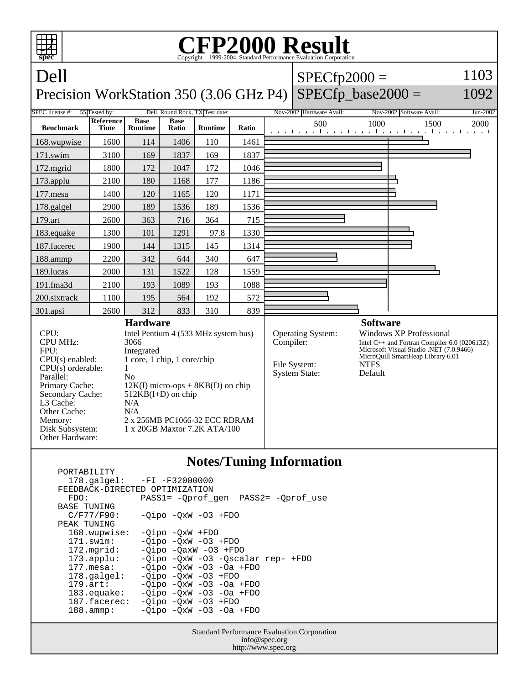

## **Notes/Tuning Information**

| - 98 - 89 - 89 - 89            |                                     |
|--------------------------------|-------------------------------------|
|                                | $178.\text{qalgel}: -FI -F32000000$ |
| FEEDBACK-DIRECTED OPTIMIZATION |                                     |
| FDO:                           | PASS1= -Oprof gen PASS2= -Oprof use |
| <b>BASE TUNING</b>             |                                     |
| $C/F77/F90$ :                  | $-Oipo$ $-OxW$ $-O3$ $+FDO$         |
| PEAK TUNING                    |                                     |
| 168.wupwise:                   | $-Oipo$ $-OxW$ $+FDO$               |
| $171$ .swim:                   | $-Oipo -OXW -O3 + FDO$              |
| $172.\text{mgrid}:$            | $-Oipo$ $-OaxW$ $-O3$ $+FDO$        |
| 173.append:                    | -Oipo -OxW -O3 -Oscalar rep- +FDO   |
| $177.$ mesa:                   | $-Oipo$ $-OxW$ $-O3$ $-Oa$ $+FDO$   |
| $178.\text{q}$ algel:          | $-Oipo -OXW -O3 + FDO$              |
| $179.\arct:$                   | $-Oipo$ $-OxW$ $-O3$ $-Oa$ $+FDO$   |
| $183$ .equake:                 | $-Oipo$ $-OxW$ $-O3$ $-Oa$ $+FDO$   |
| 187.facerec:                   | $-Oipo -OXW -O3 + FDO$              |
| $188.\t{amm:}$                 | $-Oipo$ $-OxW$ $-O3$ $-Oa$ $+FDO$   |
|                                |                                     |

PORTABILITY

Standard Performance Evaluation Corporation info@spec.org http://www.spec.org